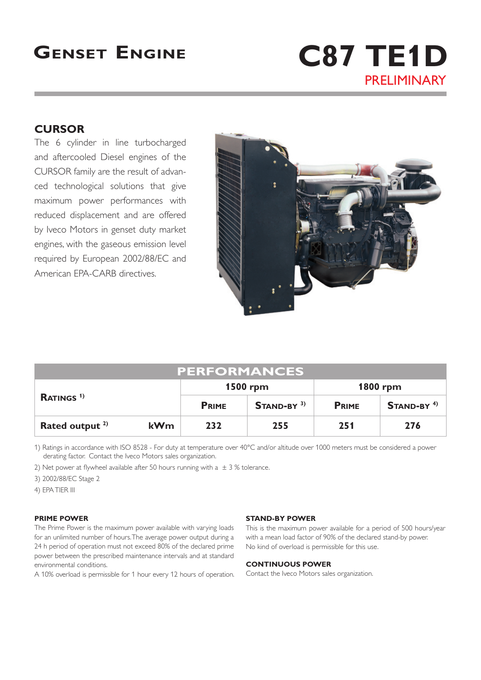

# **CURSOR**

The 6 cylinder in line turbocharged and aftercooled Diesel engines of the CURSOR family are the result of advanced technological solutions that give maximum power performances with reduced displacement and are offered by Iveco Motors in genset duty market engines, with the gaseous emission level required by European 2002/88/EC and American EPA-CARB directives.



|                                          | <b>PERFORMANCES</b> |                          |              |                          |  |
|------------------------------------------|---------------------|--------------------------|--------------|--------------------------|--|
|                                          |                     | $1500$ rpm               |              | <b>1800 rpm</b>          |  |
| RATINGS <sup>1)</sup>                    | <b>PRIME</b>        | $STAND-BY$ <sup>3)</sup> | <b>PRIME</b> | $STAND-BY$ <sup>4)</sup> |  |
| Rated output <sup>2)</sup><br><b>kWm</b> | 232                 | 255                      | 251          | 276                      |  |

1) Ratings in accordance with ISO 8528 - For duty at temperature over 40°C and/or altitude over 1000 meters must be considered a power derating factor. Contact the Iveco Motors sales organization.

- 2) Net power at flywheel available after 50 hours running with  $a \pm 3$  % tolerance.
- 3) 2002/88/EC Stage 2
- 4) EPA TIER III

### **PRIME POWER**

The Prime Power is the maximum power available with varying loads for an unlimited number of hours. The average power output during a 24 h period of operation must not exceed 80% of the declared prime power between the prescribed maintenance intervals and at standard environmental conditions.

A 10% overload is permissible for 1 hour every 12 hours of operation.

### **STAND-BY POWER**

This is the maximum power available for a period of 500 hours/year with a mean load factor of 90% of the declared stand-by power. No kind of overload is permissible for this use.

### **CONTINUOUS POWER**

Contact the Iveco Motors sales organization.